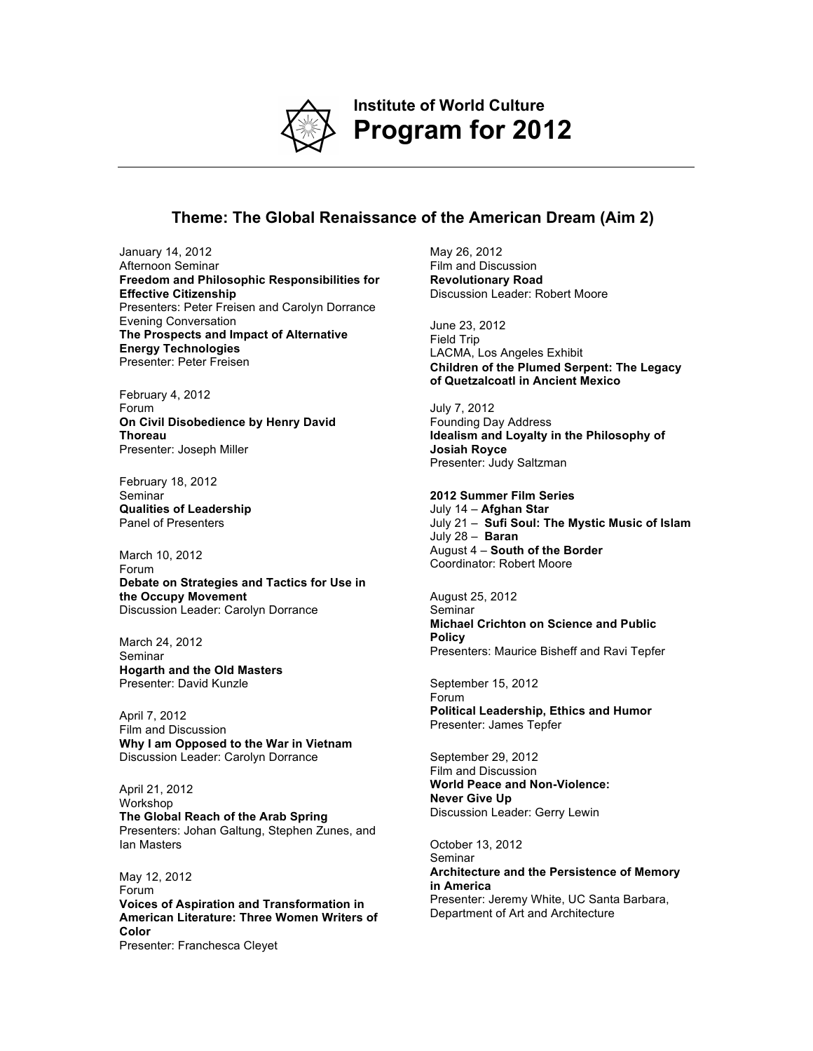

**Institute of World Culture Program for 2012**

## **Theme: The Global Renaissance of the American Dream (Aim 2)**

January 14, 2012 Afternoon Seminar **Freedom and Philosophic Responsibilities for Effective Citizenship** Presenters: Peter Freisen and Carolyn Dorrance Evening Conversation **The Prospects and Impact of Alternative Energy Technologies** Presenter: Peter Freisen

February 4, 2012 Forum **On Civil Disobedience by Henry David Thoreau**  Presenter: Joseph Miller

February 18, 2012 **Seminar Qualities of Leadership**  Panel of Presenters

March 10, 2012 Forum **Debate on Strategies and Tactics for Use in the Occupy Movement** Discussion Leader: Carolyn Dorrance

March 24, 2012 Seminar **Hogarth and the Old Masters**  Presenter: David Kunzle

April 7, 2012 Film and Discussion **Why I am Opposed to the War in Vietnam** Discussion Leader: Carolyn Dorrance

April 21, 2012 Workshop **The Global Reach of the Arab Spring**  Presenters: Johan Galtung, Stephen Zunes, and Ian Masters

May 12, 2012 Forum **Voices of Aspiration and Transformation in American Literature: Three Women Writers of Color** Presenter: Franchesca Cleyet

May 26, 2012 Film and Discussion **Revolutionary Road** Discussion Leader: Robert Moore

June 23, 2012 Field Trip LACMA, Los Angeles Exhibit **Children of the Plumed Serpent: The Legacy of Quetzalcoatl in Ancient Mexico**

July 7, 2012 Founding Day Address **Idealism and Loyalty in the Philosophy of Josiah Royce** Presenter: Judy Saltzman

**2012 Summer Film Series** 

July 14 – **Afghan Star** July 21 – **Sufi Soul: The Mystic Music of Islam** July 28 – **Baran** August 4 – **South of the Border** Coordinator: Robert Moore

August 25, 2012 Seminar **Michael Crichton on Science and Public Policy**  Presenters: Maurice Bisheff and Ravi Tepfer

September 15, 2012 Forum **Political Leadership, Ethics and Humor**  Presenter: James Tepfer

September 29, 2012 Film and Discussion **World Peace and Non-Violence: Never Give Up**  Discussion Leader: Gerry Lewin

October 13, 2012 Seminar **Architecture and the Persistence of Memory in America** Presenter: Jeremy White, UC Santa Barbara, Department of Art and Architecture